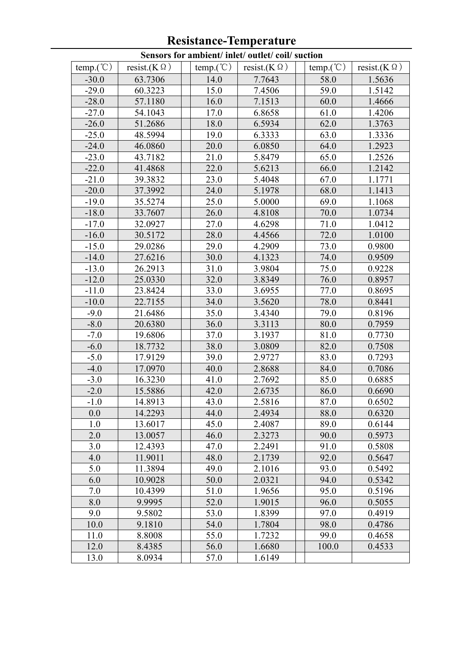|                      |                       |                     | Sensors for ambient/ inlet/ outlet/ coil/ suction |                      |                       |
|----------------------|-----------------------|---------------------|---------------------------------------------------|----------------------|-----------------------|
| temp. $({\degree}C)$ | resist.( $K \Omega$ ) | $temp. (^{\circ}C)$ | resist.( $K \Omega$ )                             | temp. $({\degree}C)$ | resist.( $K \Omega$ ) |
| $-30.0$              | 63.7306               | 14.0                | 7.7643                                            | 58.0                 | 1.5636                |
| $-29.0$              | 60.3223               | 15.0                | 7.4506                                            | 59.0                 | 1.5142                |
| $-28.0$              | 57.1180               | 16.0                | 7.1513                                            | 60.0                 | 1.4666                |
| $-27.0$              | 54.1043               | 17.0                | 6.8658                                            | 61.0                 | 1.4206                |
| $-26.0$              | 51.2686               | 18.0                | 6.5934                                            | 62.0                 | 1.3763                |
| $-25.0$              | 48.5994               | 19.0                | 6.3333                                            | 63.0                 | 1.3336                |
| $-24.0$              | 46.0860               | 20.0                | 6.0850                                            | 64.0                 | 1.2923                |
| $-23.0$              | 43.7182               | 21.0                | 5.8479                                            | 65.0                 | 1.2526                |
| $-22.0$              | 41.4868               | 22.0                | 5.6213                                            | 66.0                 | 1.2142                |
| $-21.0$              | 39.3832               | 23.0                | 5.4048                                            | 67.0                 | 1.1771                |
| $-20.0$              | 37.3992               | 24.0                | 5.1978                                            | 68.0                 | 1.1413                |
| $-19.0$              | 35.5274               | 25.0                | 5.0000                                            | 69.0                 | 1.1068                |
| $-18.0$              | 33.7607               | 26.0                | 4.8108                                            | 70.0                 | 1.0734                |
| $-17.0$              | 32.0927               | 27.0                | 4.6298                                            | 71.0                 | 1.0412                |
| $-16.0$              | 30.5172               | 28.0                | 4.4566                                            | 72.0                 | 1.0100                |
| $-15.0$              | 29.0286               | 29.0                | 4.2909                                            | 73.0                 | 0.9800                |
| $-14.0$              | 27.6216               | 30.0                | 4.1323                                            | 74.0                 | 0.9509                |
| $-13.0$              | 26.2913               | 31.0                | 3.9804                                            | 75.0                 | 0.9228                |
| $-12.0$              | 25.0330               | 32.0                | 3.8349                                            | 76.0                 | 0.8957                |
| $-11.0$              | 23.8424               | 33.0                | 3.6955                                            | 77.0                 | 0.8695                |
| $-10.0$              | 22.7155               | 34.0                | 3.5620                                            | 78.0                 | 0.8441                |
| $-9.0$               | 21.6486               | 35.0                | 3.4340                                            | 79.0                 | 0.8196                |
| $-8.0$               | 20.6380               | 36.0                | 3.3113                                            | 80.0                 | 0.7959                |
| $-7.0$               | 19.6806               | 37.0                | 3.1937                                            | 81.0                 | 0.7730                |
| $-6.0$               | 18.7732               | 38.0                | 3.0809                                            | 82.0                 | 0.7508                |
| $-5.0$               | 17.9129               | 39.0                | 2.9727                                            | 83.0                 | 0.7293                |
| $-4.0$               | 17.0970               | 40.0                | 2.8688                                            | 84.0                 | 0.7086                |
| $-3.0$               | 16.3230               | 41.0                | 2.7692                                            | 85.0                 | 0.6885                |
| $-2.0$               | 15.5886               | 42.0                | 2.6735                                            | 86.0                 | 0.6690                |
| $-1.0$               | 14.8913               | 43.0                | 2.5816                                            | 87.0                 | 0.6502                |
| 0.0                  | 14.2293               | 44.0                | 2.4934                                            | 88.0                 | 0.6320                |
| 1.0                  | 13.6017               | 45.0                | 2.4087                                            | 89.0                 | 0.6144                |
| 2.0                  | 13.0057               | 46.0                | 2.3273                                            | 90.0                 | 0.5973                |
| 3.0                  | 12.4393               | 47.0                | 2.2491                                            | 91.0                 | 0.5808                |
| 4.0                  | 11.9011               | 48.0                | 2.1739                                            | 92.0                 | 0.5647                |
| 5.0                  | 11.3894               | 49.0                | 2.1016                                            | 93.0                 | 0.5492                |
| 6.0                  | 10.9028               | 50.0                | 2.0321                                            | 94.0                 | 0.5342                |
| 7.0                  | 10.4399               | 51.0                | 1.9656                                            | 95.0                 | 0.5196                |
| 8.0                  | 9.9995                | 52.0                | 1.9015                                            | 96.0                 | 0.5055                |
| 9.0                  | 9.5802                | 53.0                | 1.8399                                            | 97.0                 | 0.4919                |
| 10.0                 | 9.1810                | 54.0                | 1.7804                                            | 98.0                 | 0.4786                |
| 11.0                 | 8.8008                | 55.0                | 1.7232                                            | 99.0                 | 0.4658                |
| 12.0                 | 8.4385                | 56.0                | 1.6680                                            | 100.0                | 0.4533                |
| 13.0                 | 8.0934                | 57.0                | 1.6149                                            |                      |                       |

## **Resistance-Temperature**